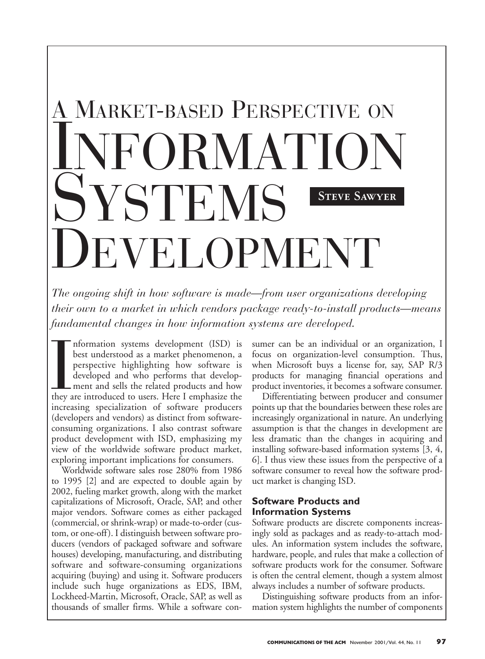# A MARKET-BASED PERSPECTIVE ON **FORMATION SYSTEMS F.VELOPMENT Steve Sawyer**

*The ongoing shift in how software is made—from user organizations developing their own to a market in which vendors package ready-to-install products—means fundamental changes in how information systems are developed.*

Information systems development (ISD) is<br>best understood as a market phenomenon, a<br>perspective highlighting how software is<br>developed and who performs that develop-<br>ment and sells the related products and how<br>they are intr nformation systems development (ISD) is best understood as a market phenomenon, a perspective highlighting how software is developed and who performs that development and sells the related products and how increasing specialization of software producers (developers and vendors) as distinct from softwareconsuming organizations. I also contrast software product development with ISD, emphasizing my view of the worldwide software product market, exploring important implications for consumers.

Worldwide software sales rose 280% from 1986 to 1995 [2] and are expected to double again by 2002, fueling market growth, along with the market capitalizations of Microsoft, Oracle, SAP, and other major vendors. Software comes as either packaged (commercial, or shrink-wrap) or made-to-order (custom, or one-off). I distinguish between software producers (vendors of packaged software and software houses) developing, manufacturing, and distributing software and software-consuming organizations acquiring (buying) and using it. Software producers include such huge organizations as EDS, IBM, Lockheed-Martin, Microsoft, Oracle, SAP, as well as thousands of smaller firms. While a software consumer can be an individual or an organization, I focus on organization-level consumption. Thus, when Microsoft buys a license for, say, SAP R/3 products for managing financial operations and product inventories, it becomes a software consumer.

Differentiating between producer and consumer points up that the boundaries between these roles are increasingly organizational in nature. An underlying assumption is that the changes in development are less dramatic than the changes in acquiring and installing software-based information systems [3, 4, 6]. I thus view these issues from the perspective of a software consumer to reveal how the software product market is changing ISD.

### **Software Products and Information Systems**

Software products are discrete components increasingly sold as packages and as ready-to-attach modules. An information system includes the software, hardware, people, and rules that make a collection of software products work for the consumer. Software is often the central element, though a system almost always includes a number of software products.

Distinguishing software products from an information system highlights the number of components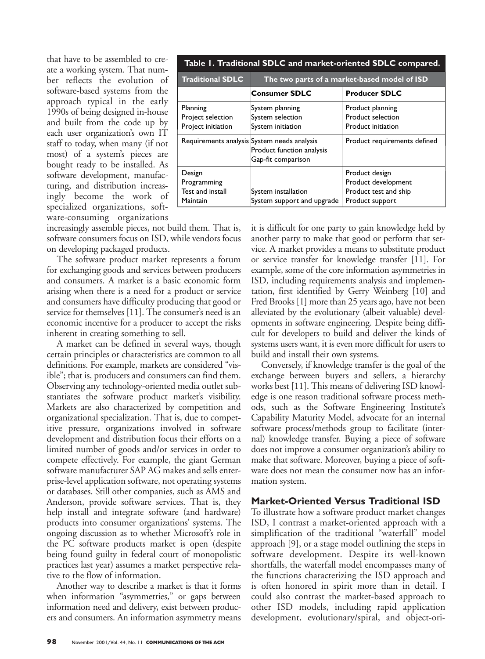that have to be assembled to create a working system. That number reflects the evolution of software-based systems from the approach typical in the early 1990s of being designed in-house and built from the code up by each user organization's own IT staff to today, when many (if not most) of a system's pieces are bought ready to be installed. As software development, manufacturing, and distribution increasingly become the work of specialized organizations, software-consuming organizations

increasingly assemble pieces, not build them. That is, software consumers focus on ISD, while vendors focus on developing packaged products.

Planning

Design

**Maintain** 

The software product market represents a forum for exchanging goods and services between producers and consumers. A market is a basic economic form arising when there is a need for a product or service and consumers have difficulty producing that good or service for themselves [11]. The consumer's need is an economic incentive for a producer to accept the risks inherent in creating something to sell.

A market can be defined in several ways, though certain principles or characteristics are common to all definitions. For example, markets are considered "visible"; that is, producers and consumers can find them. Observing any technology-oriented media outlet substantiates the software product market's visibility. Markets are also characterized by competition and organizational specialization. That is, due to competitive pressure, organizations involved in software development and distribution focus their efforts on a limited number of goods and/or services in order to compete effectively. For example, the giant German software manufacturer SAP AG makes and sells enterprise-level application software, not operating systems or databases. Still other companies, such as AMS and Anderson, provide software services. That is, they help install and integrate software (and hardware) products into consumer organizations' systems. The ongoing discussion as to whether Microsoft's role in the PC software products market is open (despite being found guilty in federal court of monopolistic practices last year) assumes a market perspective relative to the flow of information.

Another way to describe a market is that it forms when information "asymmetries," or gaps between information need and delivery, exist between producers and consumers. An information asymmetry means

it is difficult for one party to gain knowledge held by another party to make that good or perform that service. A market provides a means to substitute product or service transfer for knowledge transfer [11]. For example, some of the core information asymmetries in ISD, including requirements analysis and implemen-Project selection Project initiation Requirements analysis System needs analysis System planning System selection System initiation Product planning Product selection Product initiation Programming Test and install System installation System support and upgrade Product design Product development Product test and ship Product support Product function analysis Gap-fit comparison Product requirements defined **Consumer SDLC Producer SDLC**

**Table 1. Traditional SDLC and market-oriented SDLC compared.**

**Traditional SDLC The two parts of a market-based model of ISD**

tation, first identified by Gerry Weinberg [10] and Fred Brooks [1] more than 25 years ago, have not been alleviated by the evolutionary (albeit valuable) developments in software engineering. Despite being difficult for developers to build and deliver the kinds of systems users want, it is even more difficult for users to build and install their own systems.

Conversely, if knowledge transfer is the goal of the exchange between buyers and sellers, a hierarchy works best [11]. This means of delivering ISD knowledge is one reason traditional software process methods, such as the Software Engineering Institute's Capability Maturity Model, advocate for an internal software process/methods group to facilitate (internal) knowledge transfer. Buying a piece of software does not improve a consumer organization's ability to make that software. Moreover, buying a piece of software does not mean the consumer now has an information system.

#### **Market-Oriented Versus Traditional ISD**

To illustrate how a software product market changes ISD, I contrast a market-oriented approach with a simplification of the traditional "waterfall" model approach [9], or a stage model outlining the steps in software development. Despite its well-known shortfalls, the waterfall model encompasses many of the functions characterizing the ISD approach and is often honored in spirit more than in detail. I could also contrast the market-based approach to other ISD models, including rapid application development, evolutionary/spiral, and object-ori-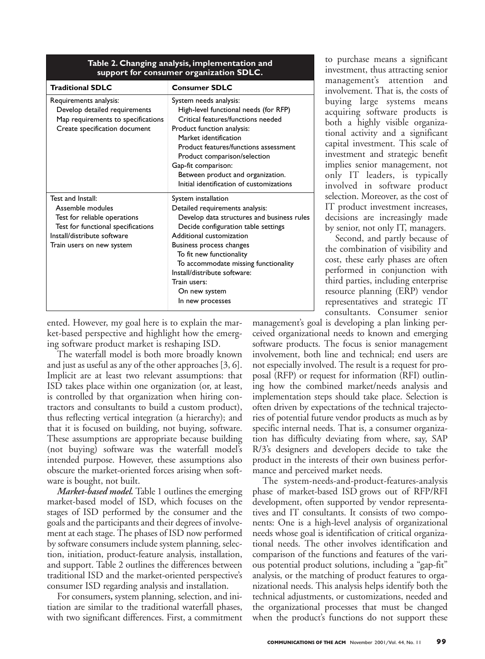| support for consumer organization SDLC.                                                                                                                                 |                                                                                                                                                                                                                                                                                                                                                              |
|-------------------------------------------------------------------------------------------------------------------------------------------------------------------------|--------------------------------------------------------------------------------------------------------------------------------------------------------------------------------------------------------------------------------------------------------------------------------------------------------------------------------------------------------------|
| <b>Traditional SDLC</b>                                                                                                                                                 | <b>Consumer SDLC</b>                                                                                                                                                                                                                                                                                                                                         |
| Requirements analysis:<br>Develop detailed requirements<br>Map requirements to specifications<br>Create specification document                                          | System needs analysis:<br>High-level functional needs (for RFP)<br>Critical features/functions needed<br>Product function analysis:<br>Market identification<br>Product features/functions assessment<br>Product comparison/selection<br>Gap-fit comparison:<br>Between product and organization.<br>Initial identification of customizations                |
| Test and Install:<br>Assemble modules<br>Test for reliable operations<br>Test for functional specifications<br>Install/distribute software<br>Train users on new system | System installation<br>Detailed requirements analysis:<br>Develop data structures and business rules<br>Decide configuration table settings<br>Additional customization<br>Business process changes<br>To fit new functionality<br>To accommodate missing functionality<br>Install/distribute software:<br>Train users:<br>On new system<br>In new processes |

## **Table 2. Changing analysis, implementation and**

ented. However, my goal here is to explain the market-based perspective and highlight how the emerging software product market is reshaping ISD.

The waterfall model is both more broadly known and just as useful as any of the other approaches [3, 6]. Implicit are at least two relevant assumptions: that ISD takes place within one organization (or, at least, is controlled by that organization when hiring contractors and consultants to build a custom product), thus reflecting vertical integration (a hierarchy); and that it is focused on building, not buying, software. These assumptions are appropriate because building (not buying) software was the waterfall model's intended purpose. However, these assumptions also obscure the market-oriented forces arising when software is bought, not built.

*Market-based model.* Table 1 outlines the emerging market-based model of ISD, which focuses on the stages of ISD performed by the consumer and the goals and the participants and their degrees of involvement at each stage. The phases of ISD now performed by software consumers include system planning, selection, initiation, product-feature analysis, installation, and support. Table 2 outlines the differences between traditional ISD and the market-oriented perspective's consumer ISD regarding analysis and installation.

For consumers**,** system planning, selection, and initiation are similar to the traditional waterfall phases, with two significant differences. First, a commitment to purchase means a significant investment, thus attracting senior management's attention and involvement. That is, the costs of buying large systems means acquiring software products is both a highly visible organizational activity and a significant capital investment. This scale of investment and strategic benefit implies senior management, not only IT leaders, is typically involved in software product selection. Moreover, as the cost of IT product investment increases, decisions are increasingly made by senior, not only IT, managers.

Second, and partly because of the combination of visibility and cost, these early phases are often performed in conjunction with third parties, including enterprise resource planning (ERP) vendor representatives and strategic IT consultants. Consumer senior

management's goal is developing a plan linking perceived organizational needs to known and emerging software products. The focus is senior management involvement, both line and technical; end users are not especially involved. The result is a request for proposal (RFP) or request for information (RFI) outlining how the combined market/needs analysis and implementation steps should take place. Selection is often driven by expectations of the technical trajectories of potential future vendor products as much as by specific internal needs. That is, a consumer organization has difficulty deviating from where, say, SAP R/3's designers and developers decide to take the product in the interests of their own business performance and perceived market needs.

The system-needs-and-product-features-analysis phase of market-based ISD grows out of RFP/RFI development, often supported by vendor representatives and IT consultants. It consists of two components: One is a high-level analysis of organizational needs whose goal is identification of critical organizational needs. The other involves identification and comparison of the functions and features of the various potential product solutions, including a "gap-fit" analysis, or the matching of product features to organizational needs. This analysis helps identify both the technical adjustments, or customizations, needed and the organizational processes that must be changed when the product's functions do not support these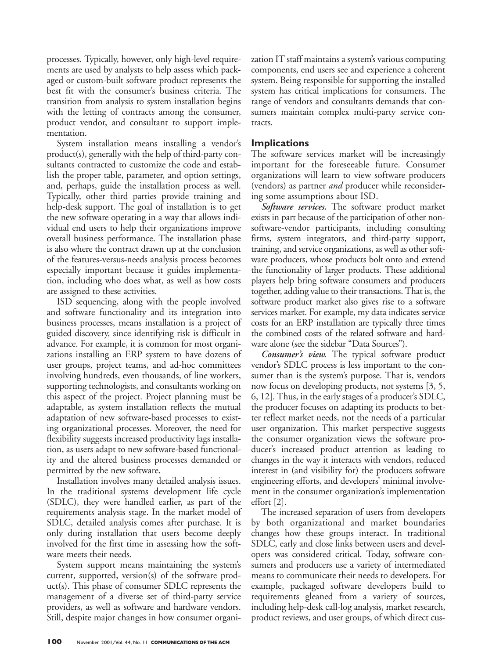processes. Typically, however, only high-level requirements are used by analysts to help assess which packaged or custom-built software product represents the best fit with the consumer's business criteria. The transition from analysis to system installation begins with the letting of contracts among the consumer, product vendor, and consultant to support implementation.

System installation means installing a vendor's product(s), generally with the help of third-party consultants contracted to customize the code and establish the proper table, parameter, and option settings, and, perhaps, guide the installation process as well. Typically, other third parties provide training and help-desk support. The goal of installation is to get the new software operating in a way that allows individual end users to help their organizations improve overall business performance. The installation phase is also where the contract drawn up at the conclusion of the features-versus-needs analysis process becomes especially important because it guides implementation, including who does what, as well as how costs are assigned to these activities.

ISD sequencing, along with the people involved and software functionality and its integration into business processes, means installation is a project of guided discovery, since identifying risk is difficult in advance. For example, it is common for most organizations installing an ERP system to have dozens of user groups, project teams, and ad-hoc committees involving hundreds, even thousands, of line workers, supporting technologists, and consultants working on this aspect of the project. Project planning must be adaptable, as system installation reflects the mutual adaptation of new software-based processes to existing organizational processes. Moreover, the need for flexibility suggests increased productivity lags installation, as users adapt to new software-based functionality and the altered business processes demanded or permitted by the new software.

Installation involves many detailed analysis issues. In the traditional systems development life cycle (SDLC), they were handled earlier, as part of the requirements analysis stage. In the market model of SDLC, detailed analysis comes after purchase. It is only during installation that users become deeply involved for the first time in assessing how the software meets their needs.

System support means maintaining the system's current, supported, version(s) of the software product(s). This phase of consumer SDLC represents the management of a diverse set of third-party service providers, as well as software and hardware vendors. Still, despite major changes in how consumer organization IT staff maintains a system's various computing components, end users see and experience a coherent system. Being responsible for supporting the installed system has critical implications for consumers. The range of vendors and consultants demands that consumers maintain complex multi-party service contracts.

#### **Implications**

The software services market will be increasingly important for the foreseeable future. Consumer organizations will learn to view software producers (vendors) as partner *and* producer while reconsidering some assumptions about ISD.

*Software services.* The software product market exists in part because of the participation of other nonsoftware-vendor participants, including consulting firms, system integrators, and third-party support, training, and service organizations, as well as other software producers, whose products bolt onto and extend the functionality of larger products. These additional players help bring software consumers and producers together, adding value to their transactions. That is, the software product market also gives rise to a software services market. For example, my data indicates service costs for an ERP installation are typically three times the combined costs of the related software and hardware alone (see the sidebar "Data Sources").

*Consumer's view.* The typical software product vendor's SDLC process is less important to the consumer than is the system's purpose. That is, vendors now focus on developing products, not systems [3, 5, 6, 12]. Thus, in the early stages of a producer's SDLC, the producer focuses on adapting its products to better reflect market needs, not the needs of a particular user organization. This market perspective suggests the consumer organization views the software producer's increased product attention as leading to changes in the way it interacts with vendors, reduced interest in (and visibility for) the producers software engineering efforts, and developers' minimal involvement in the consumer organization's implementation effort [2].

The increased separation of users from developers by both organizational and market boundaries changes how these groups interact. In traditional SDLC, early and close links between users and developers was considered critical. Today, software consumers and producers use a variety of intermediated means to communicate their needs to developers. For example, packaged software developers build to requirements gleaned from a variety of sources, including help-desk call-log analysis, market research, product reviews, and user groups, of which direct cus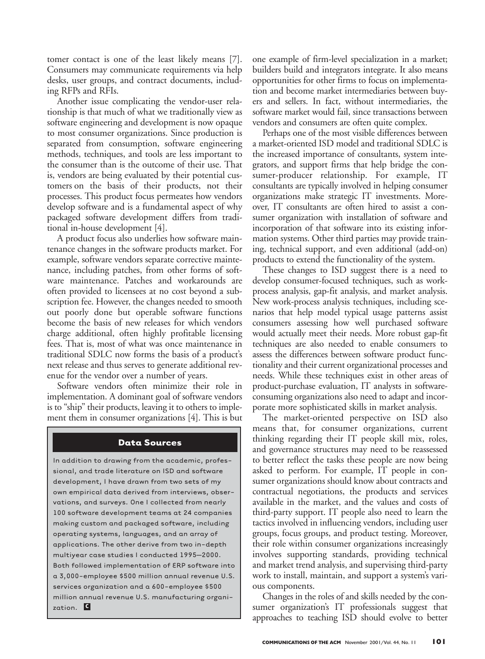tomer contact is one of the least likely means [7]. Consumers may communicate requirements via help desks, user groups, and contract documents, including RFPs and RFIs.

Another issue complicating the vendor-user relationship is that much of what we traditionally view as software engineering and development is now opaque to most consumer organizations. Since production is separated from consumption, software engineering methods, techniques, and tools are less important to the consumer than is the outcome of their use. That is, vendors are being evaluated by their potential customers on the basis of their products, not their processes. This product focus permeates how vendors develop software and is a fundamental aspect of why packaged software development differs from traditional in-house development [4].

A product focus also underlies how software maintenance changes in the software products market. For example, software vendors separate corrective maintenance, including patches, from other forms of software maintenance. Patches and workarounds are often provided to licensees at no cost beyond a subscription fee. However, the changes needed to smooth out poorly done but operable software functions become the basis of new releases for which vendors charge additional, often highly profitable licensing fees. That is, most of what was once maintenance in traditional SDLC now forms the basis of a product's next release and thus serves to generate additional revenue for the vendor over a number of years.

Software vendors often minimize their role in implementation. A dominant goal of software vendors is to "ship" their products, leaving it to others to implement them in consumer organizations [4]. This is but

#### **Data Sources**

In addition to drawing from the academic, professional, and trade literature on ISD and software development, I have drawn from two sets of my own empirical data derived from interviews, observations, and surveys. One I collected from nearly 100 software development teams at 24 companies making custom and packaged software, including operating systems, languages, and an array of applications. The other derive from two in-depth multiyear case studies I conducted 1995–2000. Both followed implementation of ERP software into a 3,000-employee \$500 million annual revenue U.S. services organization and a 600-employee \$500 million annual revenue U.S. manufacturing organization. **c**

one example of firm-level specialization in a market; builders build and integrators integrate. It also means opportunities for other firms to focus on implementation and become market intermediaries between buyers and sellers. In fact, without intermediaries, the software market would fail, since transactions between vendors and consumers are often quite complex.

Perhaps one of the most visible differences between a market-oriented ISD model and traditional SDLC is the increased importance of consultants, system integrators, and support firms that help bridge the consumer-producer relationship. For example, IT consultants are typically involved in helping consumer organizations make strategic IT investments. Moreover, IT consultants are often hired to assist a consumer organization with installation of software and incorporation of that software into its existing information systems. Other third parties may provide training, technical support, and even additional (add-on) products to extend the functionality of the system.

These changes to ISD suggest there is a need to develop consumer-focused techniques, such as workprocess analysis, gap-fit analysis, and market analysis. New work-process analysis techniques, including scenarios that help model typical usage patterns assist consumers assessing how well purchased software would actually meet their needs. More robust gap-fit techniques are also needed to enable consumers to assess the differences between software product functionality and their current organizational processes and needs. While these techniques exist in other areas of product-purchase evaluation, IT analysts in softwareconsuming organizations also need to adapt and incorporate more sophisticated skills in market analysis.

The market-oriented perspective on ISD also means that, for consumer organizations, current thinking regarding their IT people skill mix, roles, and governance structures may need to be reassessed to better reflect the tasks these people are now being asked to perform. For example, IT people in consumer organizations should know about contracts and contractual negotiations, the products and services available in the market, and the values and costs of third-party support. IT people also need to learn the tactics involved in influencing vendors, including user groups, focus groups, and product testing. Moreover, their role within consumer organizations increasingly involves supporting standards, providing technical and market trend analysis, and supervising third-party work to install, maintain, and support a system's various components.

Changes in the roles of and skills needed by the consumer organization's IT professionals suggest that approaches to teaching ISD should evolve to better